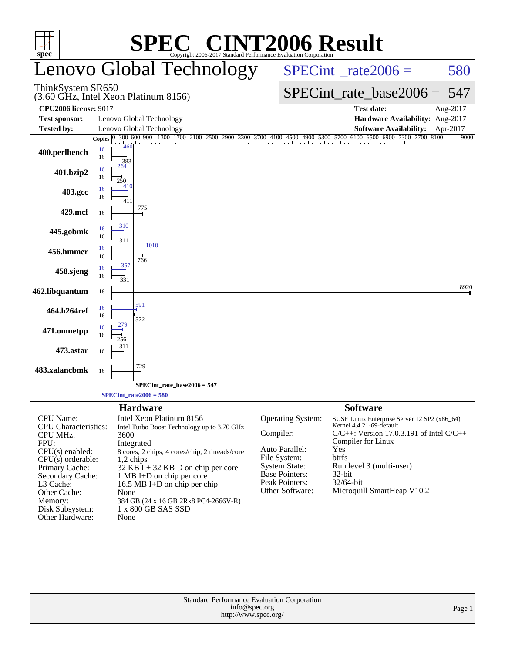| <b>C® CINT2006 Result</b><br>SPE<br>2017 Standard Performance Evaluation Corporation<br>$spec^*$                                                                                                                                           |                                                                                                                                                                                                                                                                                                                                                                              |                                       |                                                                                                                                           |                                                                                                                                                                                                                                                                        |                  |  |  |
|--------------------------------------------------------------------------------------------------------------------------------------------------------------------------------------------------------------------------------------------|------------------------------------------------------------------------------------------------------------------------------------------------------------------------------------------------------------------------------------------------------------------------------------------------------------------------------------------------------------------------------|---------------------------------------|-------------------------------------------------------------------------------------------------------------------------------------------|------------------------------------------------------------------------------------------------------------------------------------------------------------------------------------------------------------------------------------------------------------------------|------------------|--|--|
|                                                                                                                                                                                                                                            | Lenovo Global Technology                                                                                                                                                                                                                                                                                                                                                     |                                       | $SPECint^{\circ}$ <sub>_rate2006</sub> =                                                                                                  | 580                                                                                                                                                                                                                                                                    |                  |  |  |
| ThinkSystem SR650                                                                                                                                                                                                                          | (3.60 GHz, Intel Xeon Platinum 8156)                                                                                                                                                                                                                                                                                                                                         |                                       | $SPECint_rate_base2006 = 547$                                                                                                             |                                                                                                                                                                                                                                                                        |                  |  |  |
| <b>CPU2006 license: 9017</b>                                                                                                                                                                                                               |                                                                                                                                                                                                                                                                                                                                                                              |                                       |                                                                                                                                           | <b>Test date:</b>                                                                                                                                                                                                                                                      | Aug-2017         |  |  |
| <b>Test sponsor:</b>                                                                                                                                                                                                                       | Lenovo Global Technology                                                                                                                                                                                                                                                                                                                                                     |                                       |                                                                                                                                           | Hardware Availability: Aug-2017                                                                                                                                                                                                                                        |                  |  |  |
| Tested by:                                                                                                                                                                                                                                 | Lenovo Global Technology<br>300 600 900 1300 1700 2100 2500 2900 3300 3700 4100 4500 4900 5300 5700 6100 6500 6900 7300 7700<br>Copies $ 0 $                                                                                                                                                                                                                                 |                                       |                                                                                                                                           | <b>Software Availability:</b><br>8100                                                                                                                                                                                                                                  | Apr-2017<br>9000 |  |  |
| 400.perlbench                                                                                                                                                                                                                              | 460<br>16<br>16<br>383                                                                                                                                                                                                                                                                                                                                                       |                                       |                                                                                                                                           |                                                                                                                                                                                                                                                                        |                  |  |  |
| 401.bzip2                                                                                                                                                                                                                                  | 264<br>16<br>16<br>250<br>41)                                                                                                                                                                                                                                                                                                                                                |                                       |                                                                                                                                           |                                                                                                                                                                                                                                                                        |                  |  |  |
| 403.gcc                                                                                                                                                                                                                                    | 16<br>16<br>411                                                                                                                                                                                                                                                                                                                                                              |                                       |                                                                                                                                           |                                                                                                                                                                                                                                                                        |                  |  |  |
| 429.mcf                                                                                                                                                                                                                                    | 775<br>16                                                                                                                                                                                                                                                                                                                                                                    |                                       |                                                                                                                                           |                                                                                                                                                                                                                                                                        |                  |  |  |
| 445.gobmk                                                                                                                                                                                                                                  | 310<br>16<br>16<br>311                                                                                                                                                                                                                                                                                                                                                       |                                       |                                                                                                                                           |                                                                                                                                                                                                                                                                        |                  |  |  |
| 456.hmmer                                                                                                                                                                                                                                  | 1010<br>16<br>16<br>766<br>357                                                                                                                                                                                                                                                                                                                                               |                                       |                                                                                                                                           |                                                                                                                                                                                                                                                                        |                  |  |  |
| 458.sjeng                                                                                                                                                                                                                                  | 16<br>16<br>331                                                                                                                                                                                                                                                                                                                                                              |                                       |                                                                                                                                           |                                                                                                                                                                                                                                                                        | 8920             |  |  |
| 462.libquantum                                                                                                                                                                                                                             | 16                                                                                                                                                                                                                                                                                                                                                                           |                                       |                                                                                                                                           |                                                                                                                                                                                                                                                                        |                  |  |  |
| 464.h264ref                                                                                                                                                                                                                                | 591<br>16<br>16<br>572                                                                                                                                                                                                                                                                                                                                                       |                                       |                                                                                                                                           |                                                                                                                                                                                                                                                                        |                  |  |  |
| 471.omnetpp                                                                                                                                                                                                                                | 16<br>16<br>256<br>311                                                                                                                                                                                                                                                                                                                                                       |                                       |                                                                                                                                           |                                                                                                                                                                                                                                                                        |                  |  |  |
| 473.astar                                                                                                                                                                                                                                  | 16<br>729                                                                                                                                                                                                                                                                                                                                                                    |                                       |                                                                                                                                           |                                                                                                                                                                                                                                                                        |                  |  |  |
| 483.xalancbmk                                                                                                                                                                                                                              | 16                                                                                                                                                                                                                                                                                                                                                                           |                                       |                                                                                                                                           |                                                                                                                                                                                                                                                                        |                  |  |  |
|                                                                                                                                                                                                                                            | SPECint_rate_base2006 = 547                                                                                                                                                                                                                                                                                                                                                  |                                       |                                                                                                                                           |                                                                                                                                                                                                                                                                        |                  |  |  |
|                                                                                                                                                                                                                                            | $SPECint_rate2006 = 580$                                                                                                                                                                                                                                                                                                                                                     |                                       |                                                                                                                                           |                                                                                                                                                                                                                                                                        |                  |  |  |
| <b>CPU</b> Name:<br><b>CPU</b> Characteristics:<br><b>CPU MHz:</b><br>FPU:<br>$CPU(s)$ enabled:<br>$CPU(s)$ orderable:<br>Primary Cache:<br>Secondary Cache:<br>L3 Cache:<br>Other Cache:<br>Memory:<br>Disk Subsystem:<br>Other Hardware: | <b>Hardware</b><br>Intel Xeon Platinum 8156<br>Intel Turbo Boost Technology up to 3.70 GHz<br>3600<br>Integrated<br>8 cores, 2 chips, 4 cores/chip, 2 threads/core<br>$1,2$ chips<br>$32$ KB $\bar{I}$ + 32 KB D on chip per core<br>1 MB I+D on chip per core<br>16.5 MB I+D on chip per chip<br>None<br>384 GB (24 x 16 GB 2Rx8 PC4-2666V-R)<br>1 x 800 GB SAS SSD<br>None | Compiler:                             | Operating System:<br>Auto Parallel:<br>File System:<br><b>System State:</b><br><b>Base Pointers:</b><br>Peak Pointers:<br>Other Software: | <b>Software</b><br>SUSE Linux Enterprise Server 12 SP2 (x86_64)<br>Kernel 4.4.21-69-default<br>$C/C++$ : Version 17.0.3.191 of Intel $C/C++$<br>Compiler for Linux<br>Yes<br>btrfs<br>Run level 3 (multi-user)<br>$32$ -bit<br>32/64-bit<br>Microquill SmartHeap V10.2 |                  |  |  |
|                                                                                                                                                                                                                                            | Standard Performance Evaluation Corporation                                                                                                                                                                                                                                                                                                                                  | info@spec.org<br>http://www.spec.org/ |                                                                                                                                           |                                                                                                                                                                                                                                                                        | Page 1           |  |  |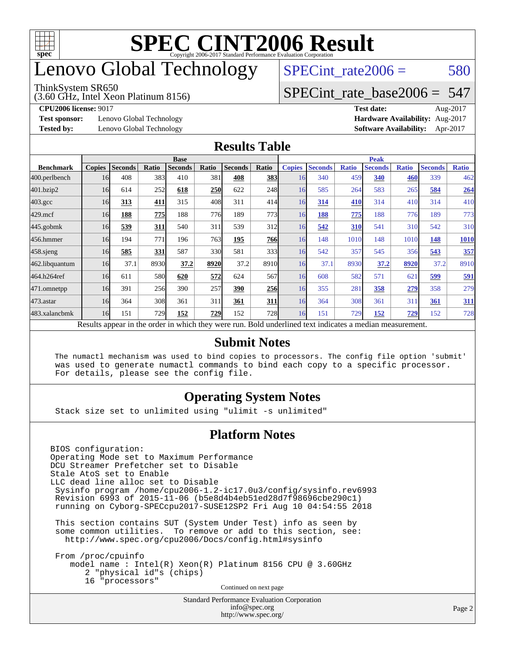

# enovo Global Technology

#### ThinkSystem SR650

(3.60 GHz, Intel Xeon Platinum 8156)

 $SPECTnt_rate2006 = 580$ 

[SPECint\\_rate\\_base2006 =](http://www.spec.org/auto/cpu2006/Docs/result-fields.html#SPECintratebase2006) 547

**[Test sponsor:](http://www.spec.org/auto/cpu2006/Docs/result-fields.html#Testsponsor)** Lenovo Global Technology **[Hardware Availability:](http://www.spec.org/auto/cpu2006/Docs/result-fields.html#HardwareAvailability)** Aug-2017

**[CPU2006 license:](http://www.spec.org/auto/cpu2006/Docs/result-fields.html#CPU2006license)** 9017 **[Test date:](http://www.spec.org/auto/cpu2006/Docs/result-fields.html#Testdate)** Aug-2017 **[Tested by:](http://www.spec.org/auto/cpu2006/Docs/result-fields.html#Testedby)** Lenovo Global Technology **[Software Availability:](http://www.spec.org/auto/cpu2006/Docs/result-fields.html#SoftwareAvailability)** Apr-2017

#### **[Results Table](http://www.spec.org/auto/cpu2006/Docs/result-fields.html#ResultsTable)**

|                                                                                                          | <b>Base</b>   |                |       |                |            | <b>Peak</b>    |            |               |                |              |                |              |                |              |
|----------------------------------------------------------------------------------------------------------|---------------|----------------|-------|----------------|------------|----------------|------------|---------------|----------------|--------------|----------------|--------------|----------------|--------------|
| <b>Benchmark</b>                                                                                         | <b>Copies</b> | <b>Seconds</b> | Ratio | <b>Seconds</b> | Ratio      | <b>Seconds</b> | Ratio      | <b>Copies</b> | <b>Seconds</b> | <b>Ratio</b> | <b>Seconds</b> | <b>Ratio</b> | <b>Seconds</b> | <b>Ratio</b> |
| 400.perlbench                                                                                            | 16            | 408            | 383   | 410            | 381        | 408            | 383        | 16            | 340            | 459          | 340            | 460          | 339            | 462          |
| 401.bzip2                                                                                                | 16            | 614            | 252   | 618            | 250        | 622            | 248        | 16            | 585            | 264          | 583            | 265          | 584            | 264          |
| $403.\mathrm{gcc}$                                                                                       | 16            | 313            | 411   | 315            | 408        | 311            | 414        | 16            | 314            | 410          | 314            | 410          | 314            | 410          |
| $429$ .mcf                                                                                               | 16            | 188            | 775   | 188            | 776I       | 189            | 773        | 16            | 188            | 775          | 188            | 776          | 189            | 773          |
| $445$ .gobmk                                                                                             | 16            | 539            | 311   | 540            | 311        | 539            | 312        | 16            | 542            | 310          | 541            | 310          | 542            | 310          |
| 456.hmmer                                                                                                | 16            | 194            | 771   | 196            | 763I       | 195            | <b>766</b> | 16            | 148            | 1010         | 148            | 1010         | 148            | 1010         |
| $458$ .sjeng                                                                                             | 16            | 585            | 331   | 587            | <b>330</b> | 581            | 333        | 16            | 542            | 357          | 545            | 356          | 543            | 357          |
| 462.libquantum                                                                                           | 16            | 37.1           | 8930  | 37.2           | 8920       | 37.2           | 8910       | 16            | 37.1           | 8930         | 37.2           | 8920         | 37.2           | 8910         |
| 464.h264ref                                                                                              | 16            | 611            | 580   | 620            | 572        | 624            | 567        | 16            | 608            | 582          | 571            | $62^\circ$   | <u>599</u>     | 591          |
| 471.omnetpp                                                                                              | 16            | 391            | 256   | 390            | 257        | 390            | <b>256</b> | 16            | 355            | 281          | 358            | 279          | 358            | 279          |
| $473$ . astar                                                                                            | 16            | 364            | 308   | 361            | 311        | 361            | 311        | 16            | 364            | 308          | 361            | 311          | 361            | 311          |
| 483.xalancbmk                                                                                            | 16            | 151            | 729   | 152            | 729        | 152            | 728        | 16            | 151            | 729          | 152            | 729          | 152            | 728          |
| Results appear in the order in which they were run. Bold underlined text indicates a median measurement. |               |                |       |                |            |                |            |               |                |              |                |              |                |              |

#### **[Submit Notes](http://www.spec.org/auto/cpu2006/Docs/result-fields.html#SubmitNotes)**

 The numactl mechanism was used to bind copies to processors. The config file option 'submit' was used to generate numactl commands to bind each copy to a specific processor. For details, please see the config file.

### **[Operating System Notes](http://www.spec.org/auto/cpu2006/Docs/result-fields.html#OperatingSystemNotes)**

Stack size set to unlimited using "ulimit -s unlimited"

#### **[Platform Notes](http://www.spec.org/auto/cpu2006/Docs/result-fields.html#PlatformNotes)**

<http://www.spec.org/>

Standard Performance Evaluation Corporation [info@spec.org](mailto:info@spec.org) BIOS configuration: Operating Mode set to Maximum Performance DCU Streamer Prefetcher set to Disable Stale AtoS set to Enable LLC dead line alloc set to Disable Sysinfo program /home/cpu2006-1.2-ic17.0u3/config/sysinfo.rev6993 Revision 6993 of 2015-11-06 (b5e8d4b4eb51ed28d7f98696cbe290c1) running on Cyborg-SPECcpu2017-SUSE12SP2 Fri Aug 10 04:54:55 2018 This section contains SUT (System Under Test) info as seen by some common utilities. To remove or add to this section, see: <http://www.spec.org/cpu2006/Docs/config.html#sysinfo> From /proc/cpuinfo model name : Intel(R) Xeon(R) Platinum 8156 CPU @ 3.60GHz 2 "physical id"s (chips) 16 "processors" Continued on next page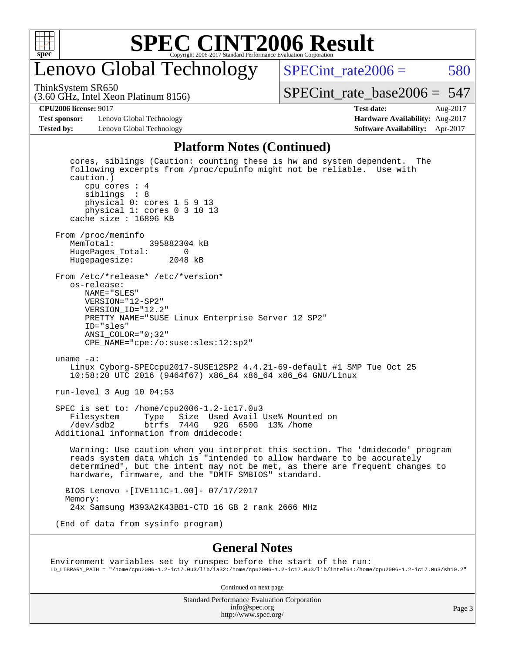

## enovo Global Technology

ThinkSystem SR650

SPECint rate $2006 = 580$ [SPECint\\_rate\\_base2006 =](http://www.spec.org/auto/cpu2006/Docs/result-fields.html#SPECintratebase2006) 547

(3.60 GHz, Intel Xeon Platinum 8156)

**[CPU2006 license:](http://www.spec.org/auto/cpu2006/Docs/result-fields.html#CPU2006license)** 9017 **[Test date:](http://www.spec.org/auto/cpu2006/Docs/result-fields.html#Testdate)** Aug-2017

**[Test sponsor:](http://www.spec.org/auto/cpu2006/Docs/result-fields.html#Testsponsor)** Lenovo Global Technology **[Hardware Availability:](http://www.spec.org/auto/cpu2006/Docs/result-fields.html#HardwareAvailability)** Aug-2017 **[Tested by:](http://www.spec.org/auto/cpu2006/Docs/result-fields.html#Testedby)** Lenovo Global Technology **[Software Availability:](http://www.spec.org/auto/cpu2006/Docs/result-fields.html#SoftwareAvailability)** Apr-2017

#### **[Platform Notes \(Continued\)](http://www.spec.org/auto/cpu2006/Docs/result-fields.html#PlatformNotes)**

 cores, siblings (Caution: counting these is hw and system dependent. The following excerpts from /proc/cpuinfo might not be reliable. Use with caution.) cpu cores : 4 siblings : 8 physical 0: cores 1 5 9 13 physical 1: cores 0 3 10 13 cache size : 16896 KB From /proc/meminfo<br>MemTotal: 395882304 kB HugePages\_Total: 0 Hugepagesize: 2048 kB From /etc/\*release\* /etc/\*version\* os-release: NAME="SLES" VERSION="12-SP2" VERSION\_ID="12.2" PRETTY\_NAME="SUSE Linux Enterprise Server 12 SP2" ID="sles" ANSI\_COLOR="0;32" CPE\_NAME="cpe:/o:suse:sles:12:sp2" uname -a: Linux Cyborg-SPECcpu2017-SUSE12SP2 4.4.21-69-default #1 SMP Tue Oct 25 10:58:20 UTC 2016 (9464f67) x86\_64 x86\_64 x86\_64 GNU/Linux run-level 3 Aug 10 04:53 SPEC is set to: /home/cpu2006-1.2-ic17.0u3 Filesystem Type Size Used Avail Use% Mounted on /dev/sdb2 btrfs 744G 92G 650G 13% /home Additional information from dmidecode: Warning: Use caution when you interpret this section. The 'dmidecode' program reads system data which is "intended to allow hardware to be accurately determined", but the intent may not be met, as there are frequent changes to hardware, firmware, and the "DMTF SMBIOS" standard. BIOS Lenovo -[IVE111C-1.00]- 07/17/2017 Memory: 24x Samsung M393A2K43BB1-CTD 16 GB 2 rank 2666 MHz (End of data from sysinfo program)

#### **[General Notes](http://www.spec.org/auto/cpu2006/Docs/result-fields.html#GeneralNotes)**

Environment variables set by runspec before the start of the run: LD\_LIBRARY\_PATH = "/home/cpu2006-1.2-ic17.0u3/lib/ia32:/home/cpu2006-1.2-ic17.0u3/lib/intel64:/home/cpu2006-1.2-ic17.0u3/sh10.2"

Continued on next page

Standard Performance Evaluation Corporation [info@spec.org](mailto:info@spec.org) <http://www.spec.org/>

Page 3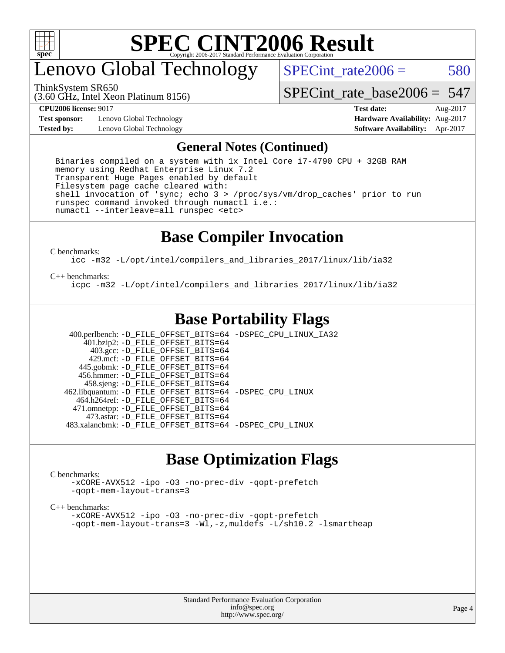

## enovo Global Technology

ThinkSystem SR650

 $SPECTnt_rate2006 = 580$ 

(3.60 GHz, Intel Xeon Platinum 8156)

#### **[CPU2006 license:](http://www.spec.org/auto/cpu2006/Docs/result-fields.html#CPU2006license)** 9017

**[Test sponsor:](http://www.spec.org/auto/cpu2006/Docs/result-fields.html#Testsponsor)** Lenovo Global Technology **[Tested by:](http://www.spec.org/auto/cpu2006/Docs/result-fields.html#Testedby)** Lenovo Global Technology

### SPECint rate base  $2006 = 547$

| <b>Test date:</b>                      | Aug-2017 |
|----------------------------------------|----------|
| <b>Hardware Availability: Aug-2017</b> |          |
| <b>Software Availability:</b>          | Apr-2017 |

#### **[General Notes \(Continued\)](http://www.spec.org/auto/cpu2006/Docs/result-fields.html#GeneralNotes)**

 Binaries compiled on a system with 1x Intel Core i7-4790 CPU + 32GB RAM memory using Redhat Enterprise Linux 7.2 Transparent Huge Pages enabled by default Filesystem page cache cleared with: shell invocation of 'sync; echo 3 > /proc/sys/vm/drop\_caches' prior to run runspec command invoked through numactl i.e.: numactl --interleave=all runspec <etc>

### **[Base Compiler Invocation](http://www.spec.org/auto/cpu2006/Docs/result-fields.html#BaseCompilerInvocation)**

[C benchmarks](http://www.spec.org/auto/cpu2006/Docs/result-fields.html#Cbenchmarks):

[icc -m32 -L/opt/intel/compilers\\_and\\_libraries\\_2017/linux/lib/ia32](http://www.spec.org/cpu2006/results/res2017q4/cpu2006-20170918-49756.flags.html#user_CCbase_intel_icc_c29f3ff5a7ed067b11e4ec10a03f03ae)

#### [C++ benchmarks:](http://www.spec.org/auto/cpu2006/Docs/result-fields.html#CXXbenchmarks)

[icpc -m32 -L/opt/intel/compilers\\_and\\_libraries\\_2017/linux/lib/ia32](http://www.spec.org/cpu2006/results/res2017q4/cpu2006-20170918-49756.flags.html#user_CXXbase_intel_icpc_8c35c7808b62dab9ae41a1aa06361b6b)

### **[Base Portability Flags](http://www.spec.org/auto/cpu2006/Docs/result-fields.html#BasePortabilityFlags)**

 400.perlbench: [-D\\_FILE\\_OFFSET\\_BITS=64](http://www.spec.org/cpu2006/results/res2017q4/cpu2006-20170918-49756.flags.html#user_basePORTABILITY400_perlbench_file_offset_bits_64_438cf9856305ebd76870a2c6dc2689ab) [-DSPEC\\_CPU\\_LINUX\\_IA32](http://www.spec.org/cpu2006/results/res2017q4/cpu2006-20170918-49756.flags.html#b400.perlbench_baseCPORTABILITY_DSPEC_CPU_LINUX_IA32)  $401.bzip2: -D$ FILE\_OFFSET\_BITS=64 403.gcc: [-D\\_FILE\\_OFFSET\\_BITS=64](http://www.spec.org/cpu2006/results/res2017q4/cpu2006-20170918-49756.flags.html#user_basePORTABILITY403_gcc_file_offset_bits_64_438cf9856305ebd76870a2c6dc2689ab) 429.mcf: [-D\\_FILE\\_OFFSET\\_BITS=64](http://www.spec.org/cpu2006/results/res2017q4/cpu2006-20170918-49756.flags.html#user_basePORTABILITY429_mcf_file_offset_bits_64_438cf9856305ebd76870a2c6dc2689ab) 445.gobmk: [-D\\_FILE\\_OFFSET\\_BITS=64](http://www.spec.org/cpu2006/results/res2017q4/cpu2006-20170918-49756.flags.html#user_basePORTABILITY445_gobmk_file_offset_bits_64_438cf9856305ebd76870a2c6dc2689ab) 456.hmmer: [-D\\_FILE\\_OFFSET\\_BITS=64](http://www.spec.org/cpu2006/results/res2017q4/cpu2006-20170918-49756.flags.html#user_basePORTABILITY456_hmmer_file_offset_bits_64_438cf9856305ebd76870a2c6dc2689ab) 458.sjeng: [-D\\_FILE\\_OFFSET\\_BITS=64](http://www.spec.org/cpu2006/results/res2017q4/cpu2006-20170918-49756.flags.html#user_basePORTABILITY458_sjeng_file_offset_bits_64_438cf9856305ebd76870a2c6dc2689ab) 462.libquantum: [-D\\_FILE\\_OFFSET\\_BITS=64](http://www.spec.org/cpu2006/results/res2017q4/cpu2006-20170918-49756.flags.html#user_basePORTABILITY462_libquantum_file_offset_bits_64_438cf9856305ebd76870a2c6dc2689ab) [-DSPEC\\_CPU\\_LINUX](http://www.spec.org/cpu2006/results/res2017q4/cpu2006-20170918-49756.flags.html#b462.libquantum_baseCPORTABILITY_DSPEC_CPU_LINUX) 464.h264ref: [-D\\_FILE\\_OFFSET\\_BITS=64](http://www.spec.org/cpu2006/results/res2017q4/cpu2006-20170918-49756.flags.html#user_basePORTABILITY464_h264ref_file_offset_bits_64_438cf9856305ebd76870a2c6dc2689ab) 471.omnetpp: [-D\\_FILE\\_OFFSET\\_BITS=64](http://www.spec.org/cpu2006/results/res2017q4/cpu2006-20170918-49756.flags.html#user_basePORTABILITY471_omnetpp_file_offset_bits_64_438cf9856305ebd76870a2c6dc2689ab) 473.astar: [-D\\_FILE\\_OFFSET\\_BITS=64](http://www.spec.org/cpu2006/results/res2017q4/cpu2006-20170918-49756.flags.html#user_basePORTABILITY473_astar_file_offset_bits_64_438cf9856305ebd76870a2c6dc2689ab) 483.xalancbmk: [-D\\_FILE\\_OFFSET\\_BITS=64](http://www.spec.org/cpu2006/results/res2017q4/cpu2006-20170918-49756.flags.html#user_basePORTABILITY483_xalancbmk_file_offset_bits_64_438cf9856305ebd76870a2c6dc2689ab) [-DSPEC\\_CPU\\_LINUX](http://www.spec.org/cpu2006/results/res2017q4/cpu2006-20170918-49756.flags.html#b483.xalancbmk_baseCXXPORTABILITY_DSPEC_CPU_LINUX)

### **[Base Optimization Flags](http://www.spec.org/auto/cpu2006/Docs/result-fields.html#BaseOptimizationFlags)**

#### [C benchmarks](http://www.spec.org/auto/cpu2006/Docs/result-fields.html#Cbenchmarks):

[-xCORE-AVX512](http://www.spec.org/cpu2006/results/res2017q4/cpu2006-20170918-49756.flags.html#user_CCbase_f-xCORE-AVX512) [-ipo](http://www.spec.org/cpu2006/results/res2017q4/cpu2006-20170918-49756.flags.html#user_CCbase_f-ipo) [-O3](http://www.spec.org/cpu2006/results/res2017q4/cpu2006-20170918-49756.flags.html#user_CCbase_f-O3) [-no-prec-div](http://www.spec.org/cpu2006/results/res2017q4/cpu2006-20170918-49756.flags.html#user_CCbase_f-no-prec-div) [-qopt-prefetch](http://www.spec.org/cpu2006/results/res2017q4/cpu2006-20170918-49756.flags.html#user_CCbase_f-qopt-prefetch) [-qopt-mem-layout-trans=3](http://www.spec.org/cpu2006/results/res2017q4/cpu2006-20170918-49756.flags.html#user_CCbase_f-qopt-mem-layout-trans_170f5be61cd2cedc9b54468c59262d5d)

#### [C++ benchmarks:](http://www.spec.org/auto/cpu2006/Docs/result-fields.html#CXXbenchmarks)

[-xCORE-AVX512](http://www.spec.org/cpu2006/results/res2017q4/cpu2006-20170918-49756.flags.html#user_CXXbase_f-xCORE-AVX512) [-ipo](http://www.spec.org/cpu2006/results/res2017q4/cpu2006-20170918-49756.flags.html#user_CXXbase_f-ipo) [-O3](http://www.spec.org/cpu2006/results/res2017q4/cpu2006-20170918-49756.flags.html#user_CXXbase_f-O3) [-no-prec-div](http://www.spec.org/cpu2006/results/res2017q4/cpu2006-20170918-49756.flags.html#user_CXXbase_f-no-prec-div) [-qopt-prefetch](http://www.spec.org/cpu2006/results/res2017q4/cpu2006-20170918-49756.flags.html#user_CXXbase_f-qopt-prefetch) [-qopt-mem-layout-trans=3](http://www.spec.org/cpu2006/results/res2017q4/cpu2006-20170918-49756.flags.html#user_CXXbase_f-qopt-mem-layout-trans_170f5be61cd2cedc9b54468c59262d5d) [-Wl,-z,muldefs](http://www.spec.org/cpu2006/results/res2017q4/cpu2006-20170918-49756.flags.html#user_CXXbase_link_force_multiple1_74079c344b956b9658436fd1b6dd3a8a) [-L/sh10.2 -lsmartheap](http://www.spec.org/cpu2006/results/res2017q4/cpu2006-20170918-49756.flags.html#user_CXXbase_SmartHeap_b831f2d313e2fffa6dfe3f00ffc1f1c0)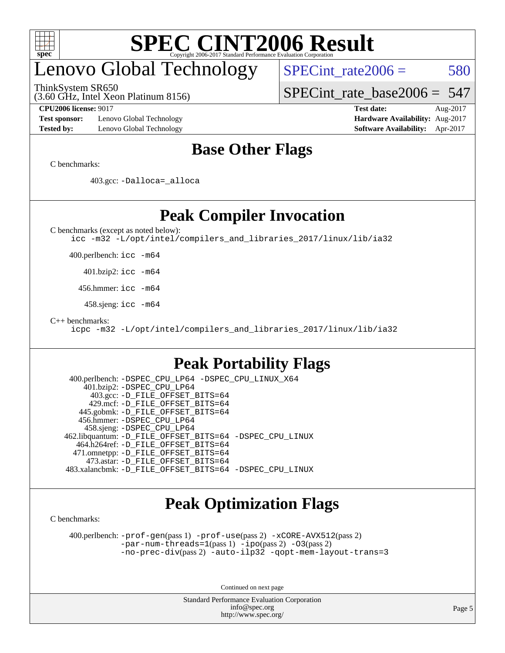

# enovo Global Technology

(3.60 GHz, Intel Xeon Platinum 8156) ThinkSystem SR650

 $SPECTnt_rate2006 = 580$ 

[SPECint\\_rate\\_base2006 =](http://www.spec.org/auto/cpu2006/Docs/result-fields.html#SPECintratebase2006) 547

**[Test sponsor:](http://www.spec.org/auto/cpu2006/Docs/result-fields.html#Testsponsor)** Lenovo Global Technology **[Hardware Availability:](http://www.spec.org/auto/cpu2006/Docs/result-fields.html#HardwareAvailability)** Aug-2017 **[Tested by:](http://www.spec.org/auto/cpu2006/Docs/result-fields.html#Testedby)** Lenovo Global Technology **[Software Availability:](http://www.spec.org/auto/cpu2006/Docs/result-fields.html#SoftwareAvailability)** Apr-2017

**[CPU2006 license:](http://www.spec.org/auto/cpu2006/Docs/result-fields.html#CPU2006license)** 9017 **[Test date:](http://www.spec.org/auto/cpu2006/Docs/result-fields.html#Testdate)** Aug-2017

## **[Base Other Flags](http://www.spec.org/auto/cpu2006/Docs/result-fields.html#BaseOtherFlags)**

[C benchmarks](http://www.spec.org/auto/cpu2006/Docs/result-fields.html#Cbenchmarks):

403.gcc: [-Dalloca=\\_alloca](http://www.spec.org/cpu2006/results/res2017q4/cpu2006-20170918-49756.flags.html#b403.gcc_baseEXTRA_CFLAGS_Dalloca_be3056838c12de2578596ca5467af7f3)

**[Peak Compiler Invocation](http://www.spec.org/auto/cpu2006/Docs/result-fields.html#PeakCompilerInvocation)**

[C benchmarks \(except as noted below\)](http://www.spec.org/auto/cpu2006/Docs/result-fields.html#Cbenchmarksexceptasnotedbelow):

[icc -m32 -L/opt/intel/compilers\\_and\\_libraries\\_2017/linux/lib/ia32](http://www.spec.org/cpu2006/results/res2017q4/cpu2006-20170918-49756.flags.html#user_CCpeak_intel_icc_c29f3ff5a7ed067b11e4ec10a03f03ae)

400.perlbench: [icc -m64](http://www.spec.org/cpu2006/results/res2017q4/cpu2006-20170918-49756.flags.html#user_peakCCLD400_perlbench_intel_icc_64bit_bda6cc9af1fdbb0edc3795bac97ada53)

401.bzip2: [icc -m64](http://www.spec.org/cpu2006/results/res2017q4/cpu2006-20170918-49756.flags.html#user_peakCCLD401_bzip2_intel_icc_64bit_bda6cc9af1fdbb0edc3795bac97ada53)

456.hmmer: [icc -m64](http://www.spec.org/cpu2006/results/res2017q4/cpu2006-20170918-49756.flags.html#user_peakCCLD456_hmmer_intel_icc_64bit_bda6cc9af1fdbb0edc3795bac97ada53)

458.sjeng: [icc -m64](http://www.spec.org/cpu2006/results/res2017q4/cpu2006-20170918-49756.flags.html#user_peakCCLD458_sjeng_intel_icc_64bit_bda6cc9af1fdbb0edc3795bac97ada53)

[C++ benchmarks:](http://www.spec.org/auto/cpu2006/Docs/result-fields.html#CXXbenchmarks)

[icpc -m32 -L/opt/intel/compilers\\_and\\_libraries\\_2017/linux/lib/ia32](http://www.spec.org/cpu2006/results/res2017q4/cpu2006-20170918-49756.flags.html#user_CXXpeak_intel_icpc_8c35c7808b62dab9ae41a1aa06361b6b)

## **[Peak Portability Flags](http://www.spec.org/auto/cpu2006/Docs/result-fields.html#PeakPortabilityFlags)**

```
 400.perlbench: -DSPEC_CPU_LP64 -DSPEC_CPU_LINUX_X64
     401.bzip2: -DSPEC_CPU_LP64
       403.gcc: -D_FILE_OFFSET_BITS=64
      429.mcf: -D_FILE_OFFSET_BITS=64
    445.gobmk: -D_FILE_OFFSET_BITS=64
    456.hmmer: -DSPEC_CPU_LP64
     458.sjeng: -DSPEC_CPU_LP64
 462.libquantum: -D_FILE_OFFSET_BITS=64 -DSPEC_CPU_LINUX
   464.h264ref: -D_FILE_OFFSET_BITS=64
   471.omnetpp: -D_FILE_OFFSET_BITS=64
      473.astar: -D_FILE_OFFSET_BITS=64
 483.xalancbmk: -D_FILE_OFFSET_BITS=64 -DSPEC_CPU_LINUX
```
## **[Peak Optimization Flags](http://www.spec.org/auto/cpu2006/Docs/result-fields.html#PeakOptimizationFlags)**

[C benchmarks](http://www.spec.org/auto/cpu2006/Docs/result-fields.html#Cbenchmarks):

 400.perlbench: [-prof-gen](http://www.spec.org/cpu2006/results/res2017q4/cpu2006-20170918-49756.flags.html#user_peakPASS1_CFLAGSPASS1_LDCFLAGS400_perlbench_prof_gen_e43856698f6ca7b7e442dfd80e94a8fc)(pass 1) [-prof-use](http://www.spec.org/cpu2006/results/res2017q4/cpu2006-20170918-49756.flags.html#user_peakPASS2_CFLAGSPASS2_LDCFLAGS400_perlbench_prof_use_bccf7792157ff70d64e32fe3e1250b55)(pass 2) [-xCORE-AVX512](http://www.spec.org/cpu2006/results/res2017q4/cpu2006-20170918-49756.flags.html#user_peakPASS2_CFLAGSPASS2_LDCFLAGS400_perlbench_f-xCORE-AVX512)(pass 2) [-par-num-threads=1](http://www.spec.org/cpu2006/results/res2017q4/cpu2006-20170918-49756.flags.html#user_peakPASS1_CFLAGSPASS1_LDCFLAGS400_perlbench_par_num_threads_786a6ff141b4e9e90432e998842df6c2)(pass 1) [-ipo](http://www.spec.org/cpu2006/results/res2017q4/cpu2006-20170918-49756.flags.html#user_peakPASS2_CFLAGSPASS2_LDCFLAGS400_perlbench_f-ipo)(pass 2) [-O3](http://www.spec.org/cpu2006/results/res2017q4/cpu2006-20170918-49756.flags.html#user_peakPASS2_CFLAGSPASS2_LDCFLAGS400_perlbench_f-O3)(pass 2) [-no-prec-div](http://www.spec.org/cpu2006/results/res2017q4/cpu2006-20170918-49756.flags.html#user_peakPASS2_CFLAGSPASS2_LDCFLAGS400_perlbench_f-no-prec-div)(pass 2) [-auto-ilp32](http://www.spec.org/cpu2006/results/res2017q4/cpu2006-20170918-49756.flags.html#user_peakCOPTIMIZE400_perlbench_f-auto-ilp32) [-qopt-mem-layout-trans=3](http://www.spec.org/cpu2006/results/res2017q4/cpu2006-20170918-49756.flags.html#user_peakCOPTIMIZE400_perlbench_f-qopt-mem-layout-trans_170f5be61cd2cedc9b54468c59262d5d)

Continued on next page

Standard Performance Evaluation Corporation [info@spec.org](mailto:info@spec.org) <http://www.spec.org/>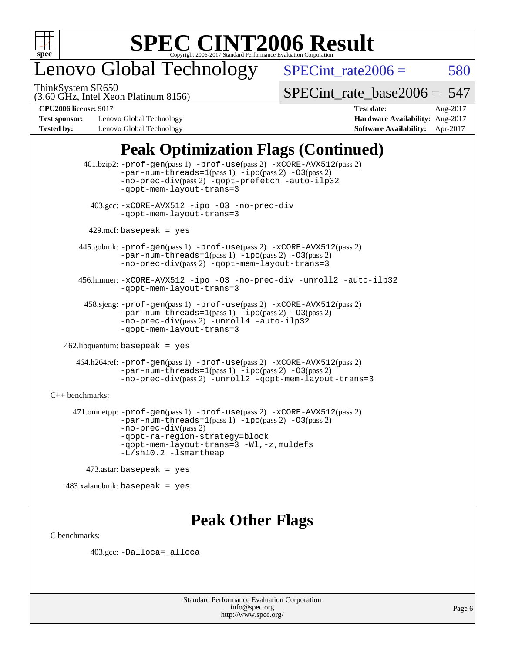

# enovo Global Technology

ThinkSystem SR650

 $SPECTnt_rate2006 = 580$ 

(3.60 GHz, Intel Xeon Platinum 8156)

[SPECint\\_rate\\_base2006 =](http://www.spec.org/auto/cpu2006/Docs/result-fields.html#SPECintratebase2006) 547

**[Test sponsor:](http://www.spec.org/auto/cpu2006/Docs/result-fields.html#Testsponsor)** Lenovo Global Technology **[Hardware Availability:](http://www.spec.org/auto/cpu2006/Docs/result-fields.html#HardwareAvailability)** Aug-2017 **[Tested by:](http://www.spec.org/auto/cpu2006/Docs/result-fields.html#Testedby)** Lenovo Global Technology **[Software Availability:](http://www.spec.org/auto/cpu2006/Docs/result-fields.html#SoftwareAvailability)** Apr-2017

**[CPU2006 license:](http://www.spec.org/auto/cpu2006/Docs/result-fields.html#CPU2006license)** 9017 **[Test date:](http://www.spec.org/auto/cpu2006/Docs/result-fields.html#Testdate)** Aug-2017

## **[Peak Optimization Flags \(Continued\)](http://www.spec.org/auto/cpu2006/Docs/result-fields.html#PeakOptimizationFlags)**

```
 401.bzip2: -prof-gen(pass 1) -prof-use(pass 2) -xCORE-AVX512(pass 2)
                -par-num-threads=1-ipo-O3(pass 2)
                -no-prec-div(pass 2) -qopt-prefetch -auto-ilp32
                -qopt-mem-layout-trans=3
          403.gcc: -xCORE-AVX512 -ipo -O3 -no-prec-div
                -qopt-mem-layout-trans=3
        429.mcf: basepeak = yes
       445.gobmk: -prof-gen(pass 1) -prof-use(pass 2) -xCORE-AVX512(pass 2)
                -par-num-threads=1(pass 1) -ipo(pass 2) -O3(pass 2)
                -no-prec-div(pass 2) -qopt-mem-layout-trans=3
       456.hmmer: -xCORE-AVX512 -ipo -O3 -no-prec-div -unroll2 -auto-ilp32
                -qopt-mem-layout-trans=3
        458.sjeng: -prof-gen(pass 1) -prof-use(pass 2) -xCORE-AVX512(pass 2)
                -par-num-threads=1-ipo-O3(pass 2)-no-prec-div(pass 2) -unroll4 -auto-ilp32
                -qopt-mem-layout-trans=3
   462.libquantum: basepeak = yes
      464.h264ref: -prof-gen(pass 1) -prof-use(pass 2) -xCORE-AVX512(pass 2)
                -par-num-threads=1(pass 1) -ipo(pass 2) -O3(pass 2)
                -no-prec-div(pass 2) -unroll2 -qopt-mem-layout-trans=3
C++ benchmarks: 
      471.omnetpp: -prof-gen(pass 1) -prof-use(pass 2) -xCORE-AVX512(pass 2)
                -par-num-threads=1(pass 1) -ipo(pass 2) -O3(pass 2)
               -no-prec-div(pass 2)
               -qopt-ra-region-strategy=block 
                -qopt-mem-layout-trans=3 -Wl,-z,muldefs
                -L/sh10.2 -lsmartheap
         473.astar: basepeak = yes
   483.xalanchmk: basepeak = yes
```
## **[Peak Other Flags](http://www.spec.org/auto/cpu2006/Docs/result-fields.html#PeakOtherFlags)**

[C benchmarks](http://www.spec.org/auto/cpu2006/Docs/result-fields.html#Cbenchmarks):

403.gcc: [-Dalloca=\\_alloca](http://www.spec.org/cpu2006/results/res2017q4/cpu2006-20170918-49756.flags.html#b403.gcc_peakEXTRA_CFLAGS_Dalloca_be3056838c12de2578596ca5467af7f3)

Standard Performance Evaluation Corporation [info@spec.org](mailto:info@spec.org) <http://www.spec.org/>